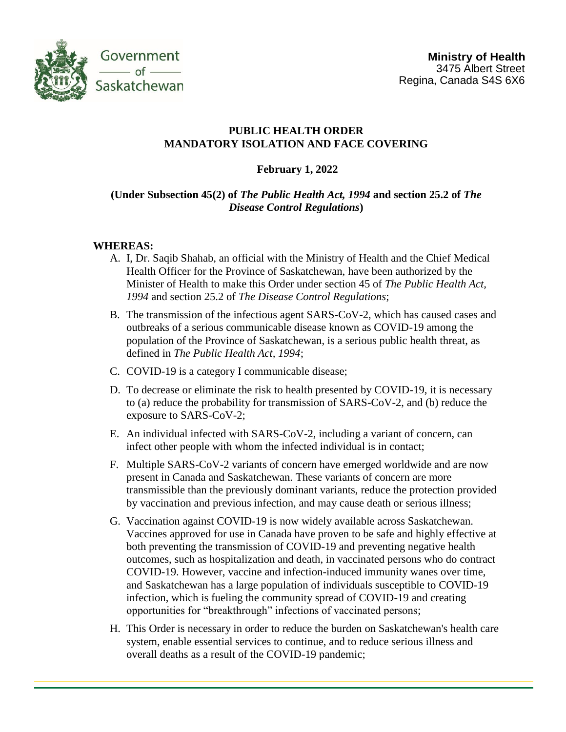

## **PUBLIC HEALTH ORDER MANDATORY ISOLATION AND FACE COVERING**

## **February 1, 2022**

# **(Under Subsection 45(2) of** *The Public Health Act, 1994* **and section 25.2 of** *The Disease Control Regulations***)**

### **WHEREAS:**

- A. I, Dr. Saqib Shahab, an official with the Ministry of Health and the Chief Medical Health Officer for the Province of Saskatchewan, have been authorized by the Minister of Health to make this Order under section 45 of *The Public Health Act, 1994* and section 25.2 of *The Disease Control Regulations*;
- B. The transmission of the infectious agent SARS-CoV-2, which has caused cases and outbreaks of a serious communicable disease known as COVID-19 among the population of the Province of Saskatchewan, is a serious public health threat, as defined in *The Public Health Act, 1994*;
- C. COVID-19 is a category I communicable disease;
- D. To decrease or eliminate the risk to health presented by COVID-19, it is necessary to (a) reduce the probability for transmission of SARS-CoV-2, and (b) reduce the exposure to SARS-CoV-2;
- E. An individual infected with SARS-CoV-2, including a variant of concern, can infect other people with whom the infected individual is in contact;
- F. Multiple SARS-CoV-2 variants of concern have emerged worldwide and are now present in Canada and Saskatchewan. These variants of concern are more transmissible than the previously dominant variants, reduce the protection provided by vaccination and previous infection, and may cause death or serious illness;
- G. Vaccination against COVID-19 is now widely available across Saskatchewan. Vaccines approved for use in Canada have proven to be safe and highly effective at both preventing the transmission of COVID-19 and preventing negative health outcomes, such as hospitalization and death, in vaccinated persons who do contract COVID-19. However, vaccine and infection-induced immunity wanes over time, and Saskatchewan has a large population of individuals susceptible to COVID-19 infection, which is fueling the community spread of COVID-19 and creating opportunities for "breakthrough" infections of vaccinated persons;
- H. This Order is necessary in order to reduce the burden on Saskatchewan's health care system, enable essential services to continue, and to reduce serious illness and overall deaths as a result of the COVID-19 pandemic;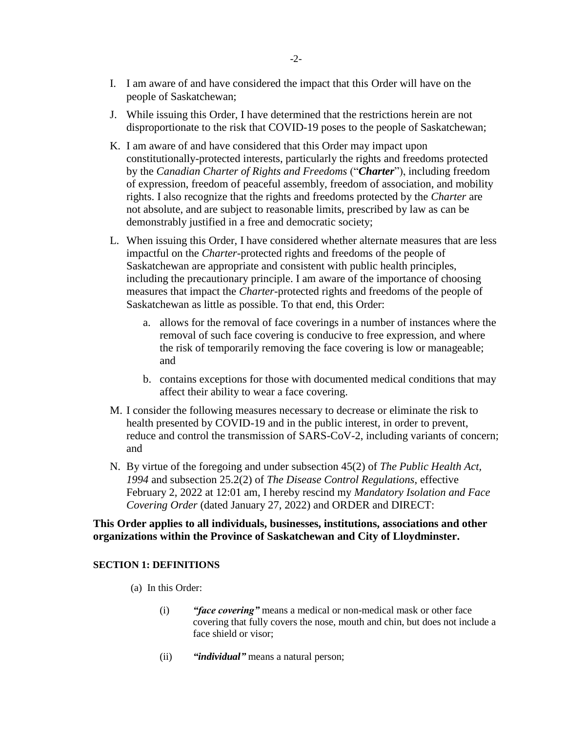- I. I am aware of and have considered the impact that this Order will have on the people of Saskatchewan;
- J. While issuing this Order, I have determined that the restrictions herein are not disproportionate to the risk that COVID-19 poses to the people of Saskatchewan;
- K. I am aware of and have considered that this Order may impact upon constitutionally-protected interests, particularly the rights and freedoms protected by the *Canadian Charter of Rights and Freedoms* ("*Charter*"), including freedom of expression, freedom of peaceful assembly, freedom of association, and mobility rights. I also recognize that the rights and freedoms protected by the *Charter* are not absolute, and are subject to reasonable limits, prescribed by law as can be demonstrably justified in a free and democratic society;
- L. When issuing this Order, I have considered whether alternate measures that are less impactful on the *Charter*-protected rights and freedoms of the people of Saskatchewan are appropriate and consistent with public health principles, including the precautionary principle. I am aware of the importance of choosing measures that impact the *Charter*-protected rights and freedoms of the people of Saskatchewan as little as possible. To that end, this Order:
	- a. allows for the removal of face coverings in a number of instances where the removal of such face covering is conducive to free expression, and where the risk of temporarily removing the face covering is low or manageable; and
	- b. contains exceptions for those with documented medical conditions that may affect their ability to wear a face covering.
- M. I consider the following measures necessary to decrease or eliminate the risk to health presented by COVID-19 and in the public interest, in order to prevent, reduce and control the transmission of SARS-CoV-2, including variants of concern; and
- N. By virtue of the foregoing and under subsection 45(2) of *The Public Health Act, 1994* and subsection 25.2(2) of *The Disease Control Regulations*, effective February 2, 2022 at 12:01 am, I hereby rescind my *Mandatory Isolation and Face Covering Order* (dated January 27, 2022) and ORDER and DIRECT:

### **This Order applies to all individuals, businesses, institutions, associations and other organizations within the Province of Saskatchewan and City of Lloydminster.**

### **SECTION 1: DEFINITIONS**

- (a) In this Order:
	- (i) *"face covering"* means a medical or non-medical mask or other face covering that fully covers the nose, mouth and chin, but does not include a face shield or visor;
	- (ii) *"individual"* means a natural person;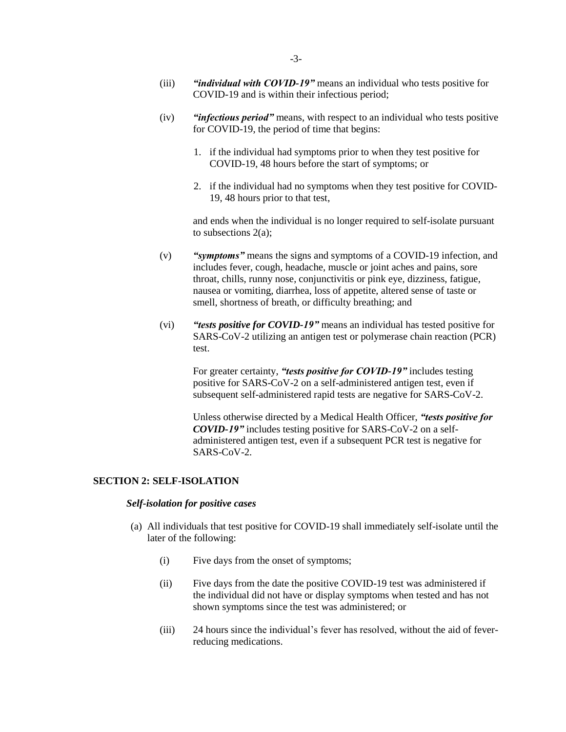- (iii) *"individual with COVID-19"* means an individual who tests positive for COVID-19 and is within their infectious period;
- (iv) *"infectious period"* means, with respect to an individual who tests positive for COVID-19, the period of time that begins:
	- 1. if the individual had symptoms prior to when they test positive for COVID-19, 48 hours before the start of symptoms; or
	- 2. if the individual had no symptoms when they test positive for COVID-19, 48 hours prior to that test,

and ends when the individual is no longer required to self-isolate pursuant to subsections 2(a);

- (v) *"symptoms"* means the signs and symptoms of a COVID-19 infection, and includes fever, cough, headache, muscle or joint aches and pains, sore throat, chills, runny nose, conjunctivitis or pink eye, dizziness, fatigue, nausea or vomiting, diarrhea, loss of appetite, altered sense of taste or smell, shortness of breath, or difficulty breathing; and
- (vi) *"tests positive for COVID-19"* means an individual has tested positive for SARS-CoV-2 utilizing an antigen test or polymerase chain reaction (PCR) test.

For greater certainty, *"tests positive for COVID-19"* includes testing positive for SARS-CoV-2 on a self-administered antigen test, even if subsequent self-administered rapid tests are negative for SARS-CoV-2.

Unless otherwise directed by a Medical Health Officer, *"tests positive for COVID-19"* includes testing positive for SARS-CoV-2 on a selfadministered antigen test, even if a subsequent PCR test is negative for SARS-CoV-2.

#### **SECTION 2: SELF-ISOLATION**

#### *Self-isolation for positive cases*

- (a) All individuals that test positive for COVID-19 shall immediately self-isolate until the later of the following:
	- (i) Five days from the onset of symptoms;
	- (ii) Five days from the date the positive COVID-19 test was administered if the individual did not have or display symptoms when tested and has not shown symptoms since the test was administered; or
	- (iii) 24 hours since the individual's fever has resolved, without the aid of feverreducing medications.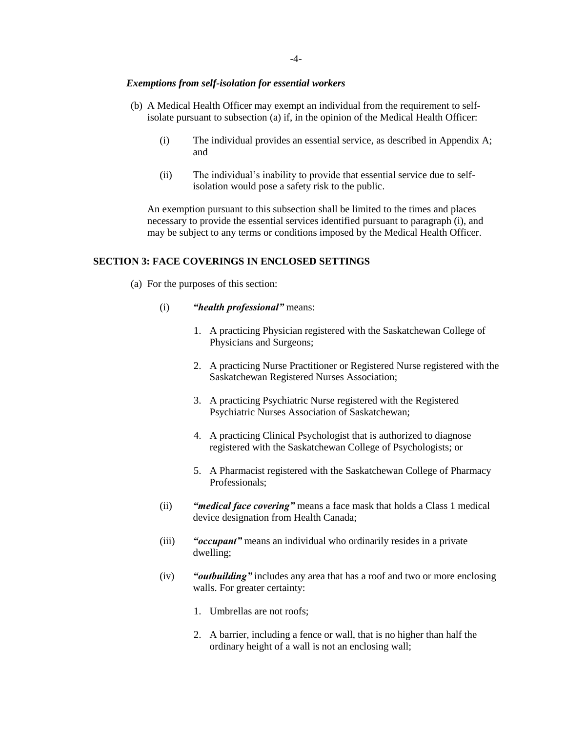#### *Exemptions from self-isolation for essential workers*

- (b) A Medical Health Officer may exempt an individual from the requirement to selfisolate pursuant to subsection (a) if, in the opinion of the Medical Health Officer:
	- (i) The individual provides an essential service, as described in Appendix A; and
	- (ii) The individual's inability to provide that essential service due to selfisolation would pose a safety risk to the public.

An exemption pursuant to this subsection shall be limited to the times and places necessary to provide the essential services identified pursuant to paragraph (i), and may be subject to any terms or conditions imposed by the Medical Health Officer.

#### **SECTION 3: FACE COVERINGS IN ENCLOSED SETTINGS**

- (a) For the purposes of this section:
	- (i) *"health professional"* means:
		- 1. A practicing Physician registered with the Saskatchewan College of Physicians and Surgeons;
		- 2. A practicing Nurse Practitioner or Registered Nurse registered with the Saskatchewan Registered Nurses Association;
		- 3. A practicing Psychiatric Nurse registered with the Registered Psychiatric Nurses Association of Saskatchewan;
		- 4. A practicing Clinical Psychologist that is authorized to diagnose registered with the Saskatchewan College of Psychologists; or
		- 5. A Pharmacist registered with the Saskatchewan College of Pharmacy Professionals;
	- (ii) *"medical face covering"* means a face mask that holds a Class 1 medical device designation from Health Canada;
	- (iii) *"occupant"* means an individual who ordinarily resides in a private dwelling;
	- (iv) *"outbuilding"* includes any area that has a roof and two or more enclosing walls. For greater certainty:
		- 1. Umbrellas are not roofs;
		- 2. A barrier, including a fence or wall, that is no higher than half the ordinary height of a wall is not an enclosing wall;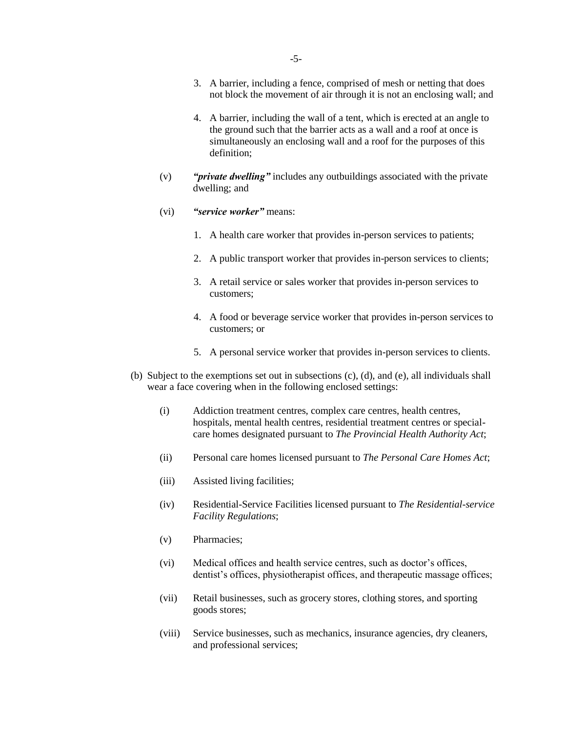- 3. A barrier, including a fence, comprised of mesh or netting that does not block the movement of air through it is not an enclosing wall; and
- 4. A barrier, including the wall of a tent, which is erected at an angle to the ground such that the barrier acts as a wall and a roof at once is simultaneously an enclosing wall and a roof for the purposes of this definition;
- (v) *"private dwelling"* includes any outbuildings associated with the private dwelling; and
- (vi) *"service worker"* means:
	- 1. A health care worker that provides in-person services to patients;
	- 2. A public transport worker that provides in-person services to clients;
	- 3. A retail service or sales worker that provides in-person services to customers;
	- 4. A food or beverage service worker that provides in-person services to customers; or
	- 5. A personal service worker that provides in-person services to clients.
- (b) Subject to the exemptions set out in subsections (c), (d), and (e), all individuals shall wear a face covering when in the following enclosed settings:
	- (i) Addiction treatment centres, complex care centres, health centres, hospitals, mental health centres, residential treatment centres or specialcare homes designated pursuant to *The Provincial Health Authority Act*;
	- (ii) Personal care homes licensed pursuant to *The Personal Care Homes Act*;
	- (iii) Assisted living facilities;
	- (iv) Residential-Service Facilities licensed pursuant to *The Residential-service Facility Regulations*;
	- (v) Pharmacies;
	- (vi) Medical offices and health service centres, such as doctor's offices, dentist's offices, physiotherapist offices, and therapeutic massage offices;
	- (vii) Retail businesses, such as grocery stores, clothing stores, and sporting goods stores;
	- (viii) Service businesses, such as mechanics, insurance agencies, dry cleaners, and professional services;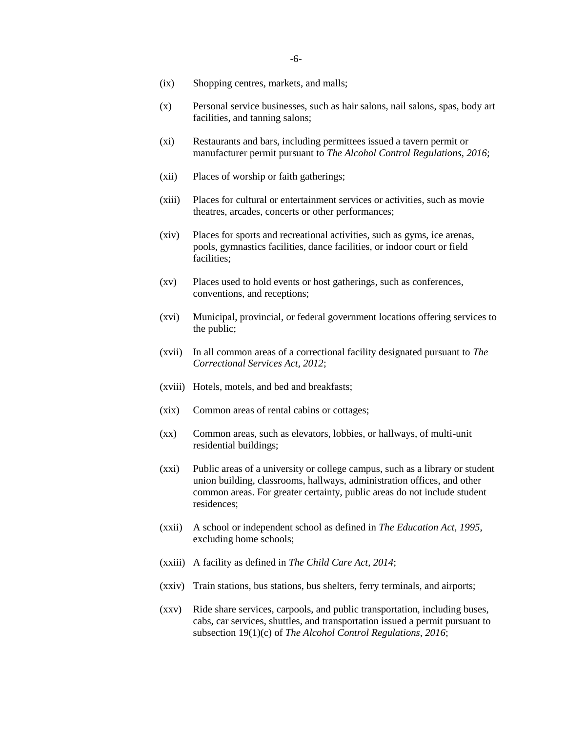- (ix) Shopping centres, markets, and malls;
- (x) Personal service businesses, such as hair salons, nail salons, spas, body art facilities, and tanning salons;
- (xi) Restaurants and bars, including permittees issued a tavern permit or manufacturer permit pursuant to *The Alcohol Control Regulations, 2016*;
- (xii) Places of worship or faith gatherings;
- (xiii) Places for cultural or entertainment services or activities, such as movie theatres, arcades, concerts or other performances;
- (xiv) Places for sports and recreational activities, such as gyms, ice arenas, pools, gymnastics facilities, dance facilities, or indoor court or field facilities;
- (xv) Places used to hold events or host gatherings, such as conferences, conventions, and receptions;
- (xvi) Municipal, provincial, or federal government locations offering services to the public;
- (xvii) In all common areas of a correctional facility designated pursuant to *The Correctional Services Act, 2012*;
- (xviii) Hotels, motels, and bed and breakfasts;
- (xix) Common areas of rental cabins or cottages;
- (xx) Common areas, such as elevators, lobbies, or hallways, of multi-unit residential buildings;
- (xxi) Public areas of a university or college campus, such as a library or student union building, classrooms, hallways, administration offices, and other common areas. For greater certainty, public areas do not include student residences;
- (xxii) A school or independent school as defined in *The Education Act, 1995*, excluding home schools;
- (xxiii) A facility as defined in *The Child Care Act, 2014*;
- (xxiv) Train stations, bus stations, bus shelters, ferry terminals, and airports;
- (xxv) Ride share services, carpools, and public transportation, including buses, cabs, car services, shuttles, and transportation issued a permit pursuant to subsection 19(1)(c) of *The Alcohol Control Regulations, 2016*;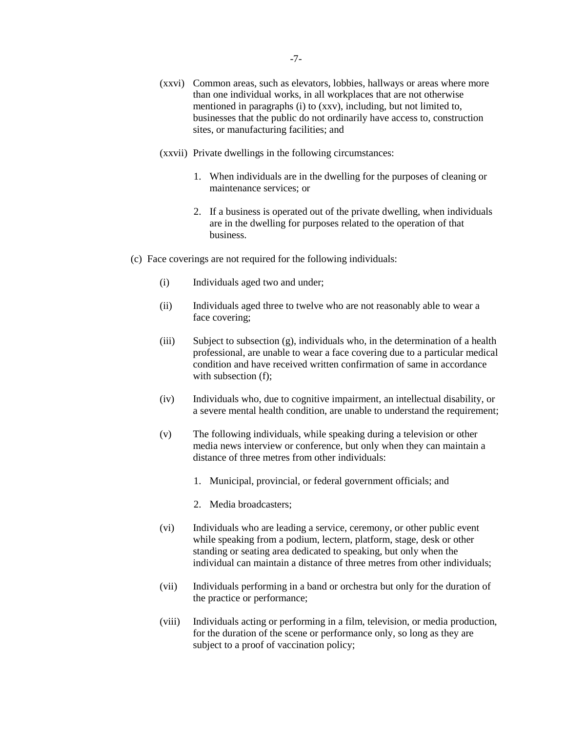- (xxvi) Common areas, such as elevators, lobbies, hallways or areas where more than one individual works, in all workplaces that are not otherwise mentioned in paragraphs (i) to (xxv), including, but not limited to, businesses that the public do not ordinarily have access to, construction sites, or manufacturing facilities; and
- (xxvii) Private dwellings in the following circumstances:
	- 1. When individuals are in the dwelling for the purposes of cleaning or maintenance services; or
	- 2. If a business is operated out of the private dwelling, when individuals are in the dwelling for purposes related to the operation of that business.
- (c) Face coverings are not required for the following individuals:
	- (i) Individuals aged two and under;
	- (ii) Individuals aged three to twelve who are not reasonably able to wear a face covering;
	- (iii) Subject to subsection (g), individuals who, in the determination of a health professional, are unable to wear a face covering due to a particular medical condition and have received written confirmation of same in accordance with subsection (f):
	- (iv) Individuals who, due to cognitive impairment, an intellectual disability, or a severe mental health condition, are unable to understand the requirement;
	- (v) The following individuals, while speaking during a television or other media news interview or conference, but only when they can maintain a distance of three metres from other individuals:
		- 1. Municipal, provincial, or federal government officials; and
		- 2. Media broadcasters;
	- (vi) Individuals who are leading a service, ceremony, or other public event while speaking from a podium, lectern, platform, stage, desk or other standing or seating area dedicated to speaking, but only when the individual can maintain a distance of three metres from other individuals;
	- (vii) Individuals performing in a band or orchestra but only for the duration of the practice or performance;
	- (viii) Individuals acting or performing in a film, television, or media production, for the duration of the scene or performance only, so long as they are subject to a proof of vaccination policy;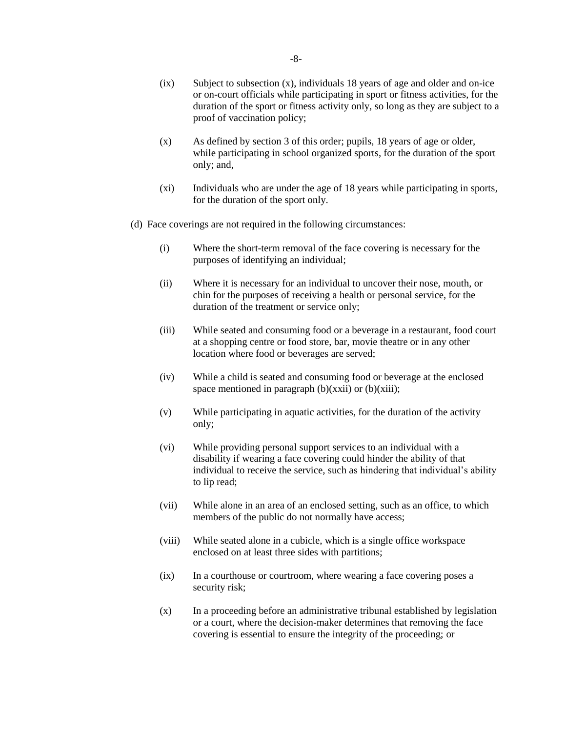- (ix) Subject to subsection (x), individuals 18 years of age and older and on-ice or on-court officials while participating in sport or fitness activities, for the duration of the sport or fitness activity only, so long as they are subject to a proof of vaccination policy;
- (x) As defined by section 3 of this order; pupils, 18 years of age or older, while participating in school organized sports, for the duration of the sport only; and,
- (xi) Individuals who are under the age of 18 years while participating in sports, for the duration of the sport only.
- (d) Face coverings are not required in the following circumstances:
	- (i) Where the short-term removal of the face covering is necessary for the purposes of identifying an individual;
	- (ii) Where it is necessary for an individual to uncover their nose, mouth, or chin for the purposes of receiving a health or personal service, for the duration of the treatment or service only;
	- (iii) While seated and consuming food or a beverage in a restaurant, food court at a shopping centre or food store, bar, movie theatre or in any other location where food or beverages are served;
	- (iv) While a child is seated and consuming food or beverage at the enclosed space mentioned in paragraph  $(b)(xxii)$  or  $(b)(xiii)$ ;
	- (v) While participating in aquatic activities, for the duration of the activity only;
	- (vi) While providing personal support services to an individual with a disability if wearing a face covering could hinder the ability of that individual to receive the service, such as hindering that individual's ability to lip read;
	- (vii) While alone in an area of an enclosed setting, such as an office, to which members of the public do not normally have access;
	- (viii) While seated alone in a cubicle, which is a single office workspace enclosed on at least three sides with partitions;
	- (ix) In a courthouse or courtroom, where wearing a face covering poses a security risk;
	- (x) In a proceeding before an administrative tribunal established by legislation or a court, where the decision-maker determines that removing the face covering is essential to ensure the integrity of the proceeding; or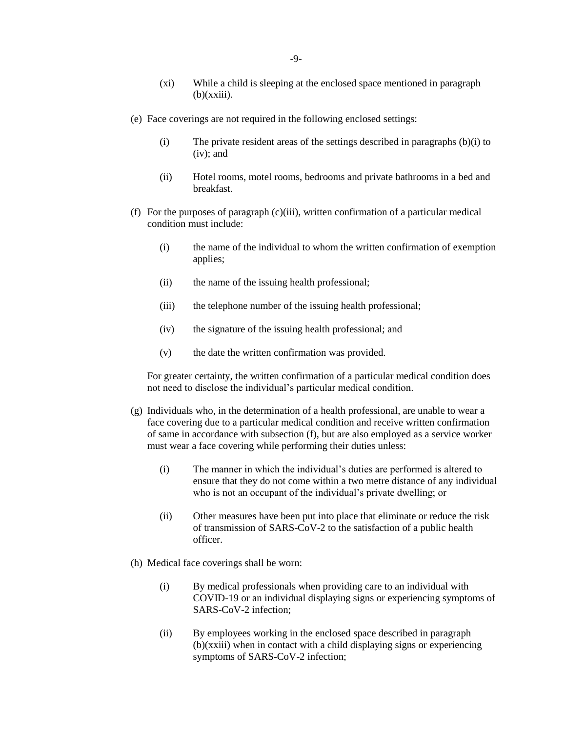- (xi) While a child is sleeping at the enclosed space mentioned in paragraph  $(b)(xxiii)$ .
- (e) Face coverings are not required in the following enclosed settings:
	- (i) The private resident areas of the settings described in paragraphs (b)(i) to (iv); and
	- (ii) Hotel rooms, motel rooms, bedrooms and private bathrooms in a bed and breakfast.
- (f) For the purposes of paragraph (c)(iii), written confirmation of a particular medical condition must include:
	- (i) the name of the individual to whom the written confirmation of exemption applies;
	- (ii) the name of the issuing health professional;
	- (iii) the telephone number of the issuing health professional;
	- (iv) the signature of the issuing health professional; and
	- (v) the date the written confirmation was provided.

For greater certainty, the written confirmation of a particular medical condition does not need to disclose the individual's particular medical condition.

- (g) Individuals who, in the determination of a health professional, are unable to wear a face covering due to a particular medical condition and receive written confirmation of same in accordance with subsection (f), but are also employed as a service worker must wear a face covering while performing their duties unless:
	- (i) The manner in which the individual's duties are performed is altered to ensure that they do not come within a two metre distance of any individual who is not an occupant of the individual's private dwelling; or
	- (ii) Other measures have been put into place that eliminate or reduce the risk of transmission of SARS-CoV-2 to the satisfaction of a public health officer.
- (h) Medical face coverings shall be worn:
	- (i) By medical professionals when providing care to an individual with COVID-19 or an individual displaying signs or experiencing symptoms of SARS-CoV-2 infection;
	- (ii) By employees working in the enclosed space described in paragraph (b)(xxiii) when in contact with a child displaying signs or experiencing symptoms of SARS-CoV-2 infection;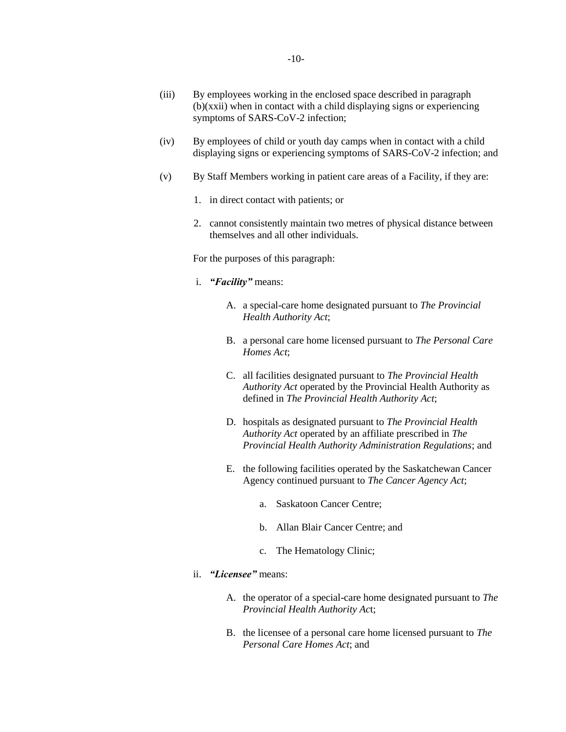- (iii) By employees working in the enclosed space described in paragraph (b)(xxii) when in contact with a child displaying signs or experiencing symptoms of SARS-CoV-2 infection;
- (iv) By employees of child or youth day camps when in contact with a child displaying signs or experiencing symptoms of SARS-CoV-2 infection; and
- (v) By Staff Members working in patient care areas of a Facility, if they are:
	- 1. in direct contact with patients; or
	- 2. cannot consistently maintain two metres of physical distance between themselves and all other individuals.

For the purposes of this paragraph:

- i. *"Facility"* means:
	- A. a special-care home designated pursuant to *The Provincial Health Authority Act*;
	- B. a personal care home licensed pursuant to *The Personal Care Homes Act*;
	- C. all facilities designated pursuant to *The Provincial Health Authority Act* operated by the Provincial Health Authority as defined in *The Provincial Health Authority Act*;
	- D. hospitals as designated pursuant to *The Provincial Health Authority Act* operated by an affiliate prescribed in *The Provincial Health Authority Administration Regulations*; and
	- E. the following facilities operated by the Saskatchewan Cancer Agency continued pursuant to *The Cancer Agency Act*;
		- a. Saskatoon Cancer Centre;
		- b. Allan Blair Cancer Centre; and
		- c. The Hematology Clinic;
- ii. *"Licensee"* means:
	- A. the operator of a special-care home designated pursuant to *The Provincial Health Authority Ac*t;
	- B. the licensee of a personal care home licensed pursuant to *The Personal Care Homes Act*; and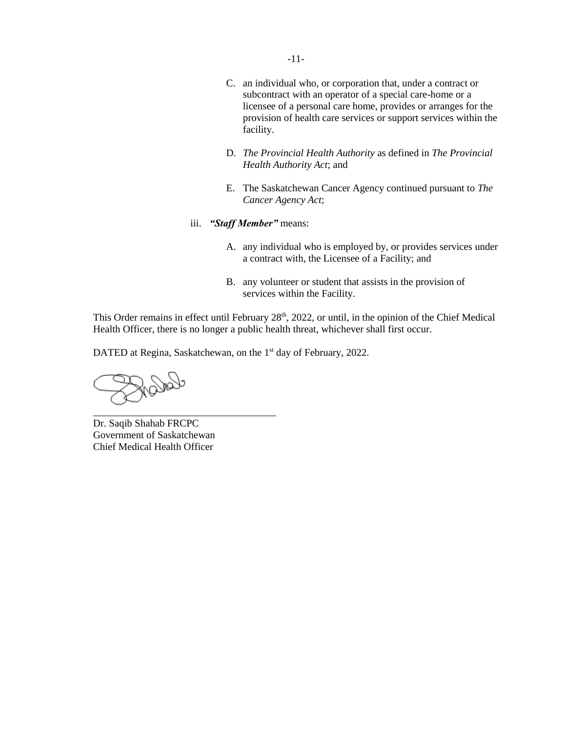- -11-
- C. an individual who, or corporation that, under a contract or subcontract with an operator of a special care-home or a licensee of a personal care home, provides or arranges for the provision of health care services or support services within the facility.
- D. *The Provincial Health Authority* as defined in *The Provincial Health Authority Act*; and
- E. The Saskatchewan Cancer Agency continued pursuant to *The Cancer Agency Act*;
- iii. *"Staff Member"* means:
	- A. any individual who is employed by, or provides services under a contract with, the Licensee of a Facility; and
	- B. any volunteer or student that assists in the provision of services within the Facility.

This Order remains in effect until February 28<sup>th</sup>, 2022, or until, in the opinion of the Chief Medical Health Officer, there is no longer a public health threat, whichever shall first occur.

DATED at Regina, Saskatchewan, on the 1<sup>st</sup> day of February, 2022.

Dr. Saqib Shahab FRCPC Government of Saskatchewan Chief Medical Health Officer

\_\_\_\_\_\_\_\_\_\_\_\_\_\_\_\_\_\_\_\_\_\_\_\_\_\_\_\_\_\_\_\_\_\_\_\_